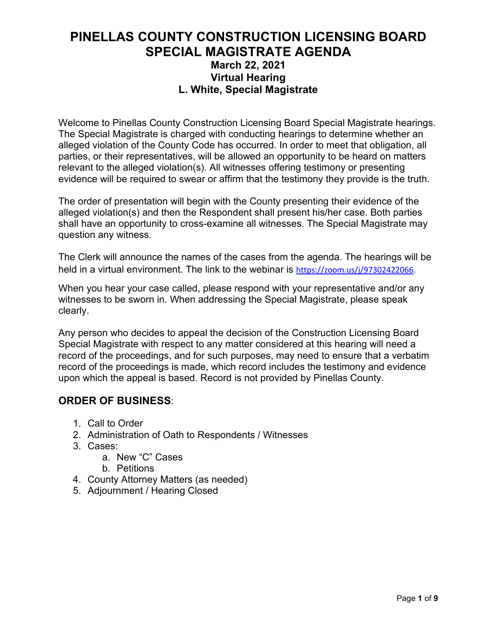### **PINELLAS COUNTY CONSTRUCTION LICENSING BOARD SPECIAL MAGISTRATE AGENDA March 22, 2021 Virtual Hearing L. White, Special Magistrate**

Welcome to Pinellas County Construction Licensing Board Special Magistrate hearings. The Special Magistrate is charged with conducting hearings to determine whether an alleged violation of the County Code has occurred. In order to meet that obligation, all parties, or their representatives, will be allowed an opportunity to be heard on matters relevant to the alleged violation(s). All witnesses offering testimony or presenting evidence will be required to swear or affirm that the testimony they provide is the truth.

The order of presentation will begin with the County presenting their evidence of the alleged violation(s) and then the Respondent shall present his/her case. Both parties shall have an opportunity to cross-examine all witnesses. The Special Magistrate may question any witness.

The Clerk will announce the names of the cases from the agenda. The hearings will be held in a virtual environment. The link to the webinar is [https://zoom.us/j/97302422066.](https://zoom.us/j/97302422066)

When you hear your case called, please respond with your representative and/or any witnesses to be sworn in. When addressing the Special Magistrate, please speak clearly.

Any person who decides to appeal the decision of the Construction Licensing Board Special Magistrate with respect to any matter considered at this hearing will need a record of the proceedings, and for such purposes, may need to ensure that a verbatim record of the proceedings is made, which record includes the testimony and evidence upon which the appeal is based. Record is not provided by Pinellas County.

### **ORDER OF BUSINESS**:

- 1. Call to Order
- 2. Administration of Oath to Respondents / Witnesses
- 3. Cases:
	- a. New "C" Cases
	- b. Petitions
- 4. County Attorney Matters (as needed)
- 5. Adjournment / Hearing Closed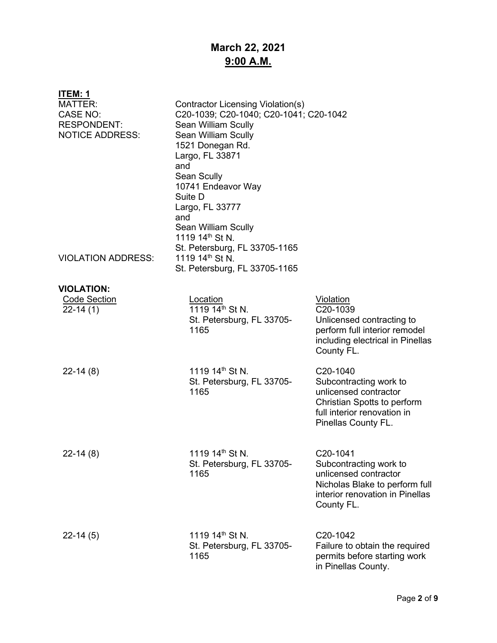# **March 22, 2021 9:00 A.M.**

| <b>ITEM: 1</b>                               |                                                                                                                                                                                                                          |                                                                                                                                                           |
|----------------------------------------------|--------------------------------------------------------------------------------------------------------------------------------------------------------------------------------------------------------------------------|-----------------------------------------------------------------------------------------------------------------------------------------------------------|
| <b>MATTER:</b><br>CASE NO:                   | Contractor Licensing Violation(s)<br>C20-1039; C20-1040; C20-1041; C20-1042                                                                                                                                              |                                                                                                                                                           |
| <b>RESPONDENT:</b><br><b>NOTICE ADDRESS:</b> | Sean William Scully<br>Sean William Scully<br>1521 Donegan Rd.<br>Largo, FL 33871<br>and<br>Sean Scully<br>10741 Endeavor Way<br>Suite D<br>Largo, FL 33777<br>and<br>Sean William Scully<br>1119 14 <sup>th</sup> St N. |                                                                                                                                                           |
| <b>VIOLATION ADDRESS:</b>                    | St. Petersburg, FL 33705-1165<br>1119 14 <sup>th</sup> St N.<br>St. Petersburg, FL 33705-1165                                                                                                                            |                                                                                                                                                           |
| <b>VIOLATION:</b>                            |                                                                                                                                                                                                                          |                                                                                                                                                           |
| <b>Code Section</b><br>$22 - 14(1)$          | Location<br>1119 14 <sup>th</sup> St N.<br>St. Petersburg, FL 33705-<br>1165                                                                                                                                             | <b>Violation</b><br>C <sub>20</sub> -1039<br>Unlicensed contracting to<br>perform full interior remodel<br>including electrical in Pinellas<br>County FL. |
| $22-14(8)$                                   | 1119 14 <sup>th</sup> St N.<br>St. Petersburg, FL 33705-<br>1165                                                                                                                                                         | C20-1040<br>Subcontracting work to<br>unlicensed contractor<br>Christian Spotts to perform<br>full interior renovation in<br>Pinellas County FL.          |
| $22-14(8)$                                   | 1119 $14^{\text{th}}$ St N.<br>St. Petersburg, FL 33705-<br>1165                                                                                                                                                         | C20-1041<br>Subcontracting work to<br>unlicensed contractor<br>Nicholas Blake to perform full<br>interior renovation in Pinellas<br>County FL.            |
| $22-14(5)$                                   | 1119 14 <sup>th</sup> St N.<br>St. Petersburg, FL 33705-<br>1165                                                                                                                                                         | C20-1042<br>Failure to obtain the required<br>permits before starting work<br>in Pinellas County.                                                         |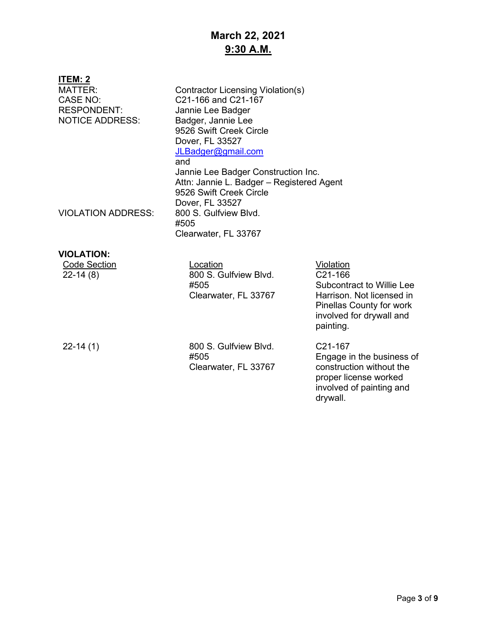# **March 22, 2021 9:30 A.M.**

| <b>ITEM: 2</b><br><b>MATTER:</b><br><b>CASE NO:</b><br><b>RESPONDENT:</b><br><b>NOTICE ADDRESS:</b><br><b>VIOLATION ADDRESS:</b> | Contractor Licensing Violation(s)<br>C21-166 and C21-167<br>Jannie Lee Badger<br>Badger, Jannie Lee<br>9526 Swift Creek Circle<br>Dover, FL 33527<br>JLBadger@gmail.com<br>and<br>Jannie Lee Badger Construction Inc.<br>Attn: Jannie L. Badger - Registered Agent<br>9526 Swift Creek Circle<br>Dover, FL 33527<br>800 S. Gulfview Blvd. |                                                                                                                                                            |
|----------------------------------------------------------------------------------------------------------------------------------|-------------------------------------------------------------------------------------------------------------------------------------------------------------------------------------------------------------------------------------------------------------------------------------------------------------------------------------------|------------------------------------------------------------------------------------------------------------------------------------------------------------|
|                                                                                                                                  | #505<br>Clearwater, FL 33767                                                                                                                                                                                                                                                                                                              |                                                                                                                                                            |
| <b>VIOLATION:</b>                                                                                                                |                                                                                                                                                                                                                                                                                                                                           |                                                                                                                                                            |
| <b>Code Section</b><br>$22-14(8)$                                                                                                | Location<br>800 S. Gulfview Blvd.<br>#505<br>Clearwater, FL 33767                                                                                                                                                                                                                                                                         | Violation<br>C21-166<br><b>Subcontract to Willie Lee</b><br>Harrison. Not licensed in<br>Pinellas County for work<br>involved for drywall and<br>painting. |
| $22-14(1)$                                                                                                                       | 800 S. Gulfview Blvd.<br>#505<br>Clearwater, FL 33767                                                                                                                                                                                                                                                                                     | C <sub>21</sub> -167<br>Engage in the business of<br>construction without the<br>proper license worked<br>involved of painting and<br>drywall.             |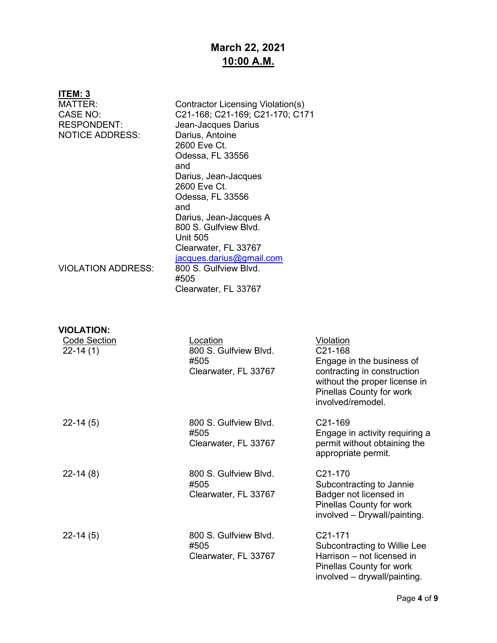# **March 22, 2021 10:00 A.M.**

| ITEM: 3                                                                    |                                                                                                                                                                                                                                                                                                                            |                                                                                                                                                              |
|----------------------------------------------------------------------------|----------------------------------------------------------------------------------------------------------------------------------------------------------------------------------------------------------------------------------------------------------------------------------------------------------------------------|--------------------------------------------------------------------------------------------------------------------------------------------------------------|
| MATTER:<br><b>CASE NO:</b><br><b>RESPONDENT:</b><br><b>NOTICE ADDRESS:</b> | Contractor Licensing Violation(s)<br>C21-168; C21-169; C21-170; C171<br>Jean-Jacques Darius<br>Darius, Antoine<br>2600 Eve Ct.<br>Odessa, FL 33556<br>and<br>Darius, Jean-Jacques<br>2600 Eve Ct.<br>Odessa, FL 33556<br>and<br>Darius, Jean-Jacques A<br>800 S. Gulfview Blvd.<br><b>Unit 505</b><br>Clearwater, FL 33767 |                                                                                                                                                              |
| <b>VIOLATION ADDRESS:</b>                                                  | jacques.darius@gmail.com<br>800 S. Gulfview Blvd.<br>#505<br>Clearwater, FL 33767                                                                                                                                                                                                                                          |                                                                                                                                                              |
| <b>VIOLATION:</b><br><b>Code Section</b>                                   | Location                                                                                                                                                                                                                                                                                                                   | <u>Violation</u>                                                                                                                                             |
| $22 - 14(1)$                                                               | 800 S. Gulfview Blvd.<br>#505<br>Clearwater, FL 33767                                                                                                                                                                                                                                                                      | C21-168<br>Engage in the business of<br>contracting in construction<br>without the proper license in<br><b>Pinellas County for work</b><br>involved/remodel. |
| $22-14(5)$                                                                 | 800 S. Gulfview Blvd.<br>#505<br>Clearwater, FL 33767                                                                                                                                                                                                                                                                      | C <sub>21</sub> -169<br>Engage in activity requiring a<br>permit without obtaining the<br>appropriate permit.                                                |
| $22-14(8)$                                                                 | 800 S. Gulfview Blvd.<br>#505<br>Clearwater, FL 33767                                                                                                                                                                                                                                                                      | C21-170<br>Subcontracting to Jannie<br>Badger not licensed in<br>Pinellas County for work<br>involved - Drywall/painting.                                    |
| $22 - 14(5)$                                                               | 800 S. Gulfview Blvd.<br>#505<br>Clearwater, FL 33767                                                                                                                                                                                                                                                                      | C21-171<br>Subcontracting to Willie Lee<br>Harrison - not licensed in<br>Pinellas County for work<br>involved - drywall/painting.                            |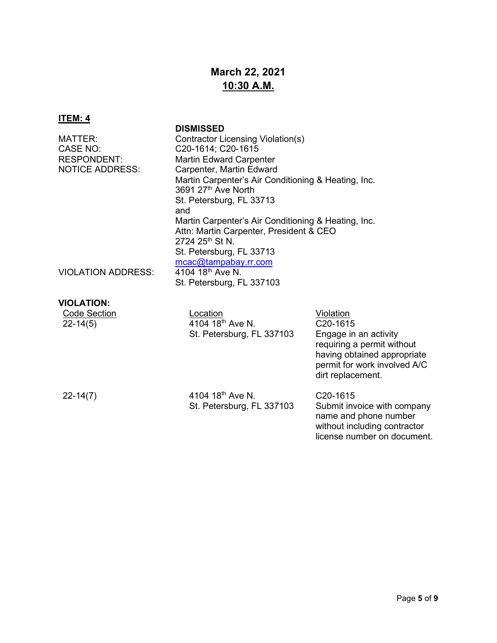# **March 22, 2021 10:30 A.M.**

### **ITEM: 4**

### **DISMISSED**

| MATTER:                   | Contractor Licensing Violation(s)                   |
|---------------------------|-----------------------------------------------------|
| CASE NO:                  | C20-1614; C20-1615                                  |
| <b>RESPONDENT:</b>        | <b>Martin Edward Carpenter</b>                      |
| <b>NOTICE ADDRESS:</b>    | Carpenter, Martin Edward                            |
|                           | Martin Carpenter's Air Conditioning & Heating, Inc. |
|                           | 3691 27th Ave North                                 |
|                           | St. Petersburg, FL 33713                            |
|                           | and                                                 |
|                           | Martin Carpenter's Air Conditioning & Heating, Inc. |
|                           | Attn: Martin Carpenter, President & CEO             |
|                           | 2724 25th St N.                                     |
|                           | St. Petersburg, FL 33713                            |
|                           | mcac@tampabay.rr.com                                |
| <b>VIOLATION ADDRESS:</b> | 4104 18 <sup>th</sup> Ave N.                        |
|                           | St. Petersburg, FL 337103                           |
|                           |                                                     |

### **VIOLATION:**

| <b>Code Section</b><br>$22 - 14(5)$ | _ocation<br>4104 18th Ave N.<br>St. Petersburg, FL 337103 | Violation<br>C20-1615<br>Engage in an activity<br>requiring a permit without<br>having obtained appropriate<br>permit for work involved A/C<br>dirt replacement. |
|-------------------------------------|-----------------------------------------------------------|------------------------------------------------------------------------------------------------------------------------------------------------------------------|
| $22 - 14(7)$                        | 4104 18 <sup>th</sup> Ave N.<br>St. Petersburg, FL 337103 | C <sub>20</sub> -1615<br>Submit invoice with company<br>name and phone number<br>without including contractor<br>license number on document.                     |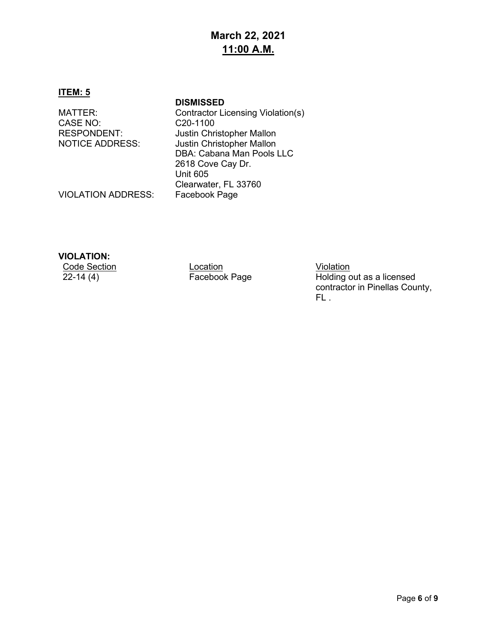### **March 22, 2021 11:00 A.M.**

#### **ITEM: 5**

CASE NO: CASE NO: C20-1100<br>RESPONDENT: Justin Chr

**DISMISSED** MATTER: Contractor Licensing Violation(s) RESPONDENT: Justin Christopher Mallon<br>NOTICE ADDRESS: Justin Christopher Mallon Justin Christopher Mallon DBA: Cabana Man Pools LLC 2618 Cove Cay Dr. Unit 605 Clearwater, FL 33760

VIOLATION ADDRESS:

### **VIOLATION:**

Code Section Location Location Location Violation<br>22-14 (4) Facebook Page Holding c

Holding out as a licensed contractor in Pinellas County, FL .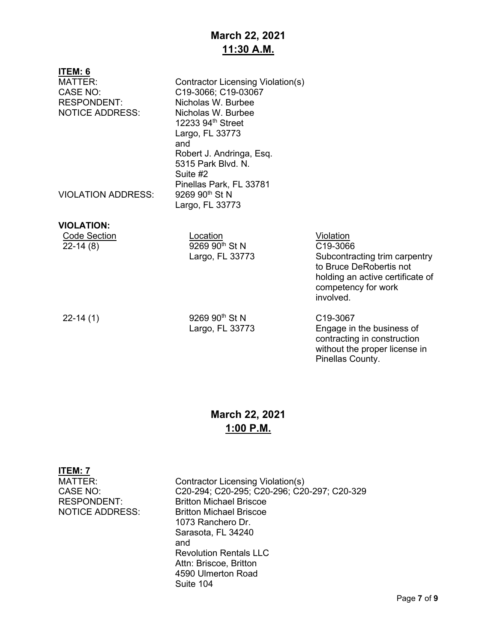# **March 22, 2021 11:30 A.M.**

| ITEM: 6<br>MATTER:<br><b>CASE NO:</b><br><b>RESPONDENT:</b><br><b>NOTICE ADDRESS:</b><br><b>VIOLATION ADDRESS:</b> | Contractor Licensing Violation(s)<br>C19-3066; C19-03067<br>Nicholas W. Burbee<br>Nicholas W. Burbee<br>12233 94th Street<br>Largo, FL 33773<br>and<br>Robert J. Andringa, Esq.<br>5315 Park Blvd, N.<br>Suite #2<br>Pinellas Park, FL 33781<br>9269 90 <sup>th</sup> St N<br>Largo, FL 33773 |                                                                                                                                                           |
|--------------------------------------------------------------------------------------------------------------------|-----------------------------------------------------------------------------------------------------------------------------------------------------------------------------------------------------------------------------------------------------------------------------------------------|-----------------------------------------------------------------------------------------------------------------------------------------------------------|
| <b>VIOLATION:</b><br><b>Code Section</b><br>$22-14(8)$                                                             | Location<br>9269 90 <sup>th</sup> St N<br>Largo, FL 33773                                                                                                                                                                                                                                     | Violation<br>C19-3066<br>Subcontracting trim carpentry<br>to Bruce DeRobertis not<br>holding an active certificate of<br>competency for work<br>involved. |
| $22-14(1)$                                                                                                         | 9269 90 <sup>th</sup> St N<br>Largo, FL 33773                                                                                                                                                                                                                                                 | C <sub>19</sub> -3067<br>Engage in the business of<br>contracting in construction<br>without the proper license in                                        |

### **March 22, 2021 1:00 P.M.**

Pinellas County.

| ITEM: 7                |                                             |
|------------------------|---------------------------------------------|
| MATTER:                | Contractor Licensing Violation(s)           |
| CASE NO:               | C20-294; C20-295; C20-296; C20-297; C20-329 |
| RESPONDENT:            | <b>Britton Michael Briscoe</b>              |
| <b>NOTICE ADDRESS:</b> | <b>Britton Michael Briscoe</b>              |
|                        | 1073 Ranchero Dr.                           |
|                        | Sarasota, FL 34240                          |
|                        | and                                         |
|                        | <b>Revolution Rentals LLC</b>               |
|                        | Attn: Briscoe, Britton                      |
|                        | 4590 Ulmerton Road                          |
|                        | Suite 104                                   |
|                        |                                             |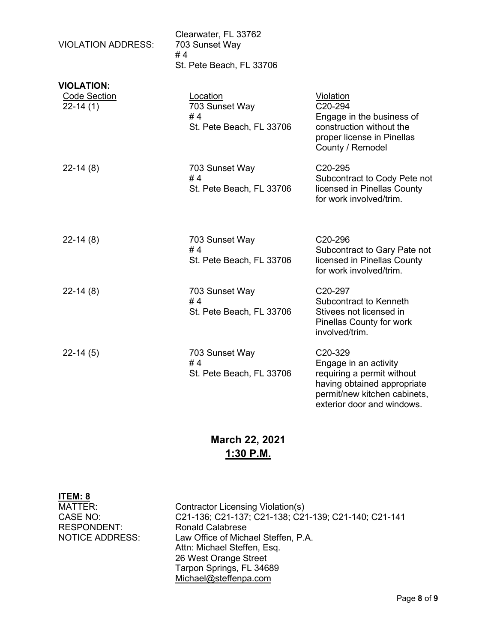| <b>VIOLATION ADDRESS:</b>                              | Clearwater, FL 33762<br>703 Sunset Way<br>#4<br>St. Pete Beach, FL 33706 |                                                                                                                                                                          |
|--------------------------------------------------------|--------------------------------------------------------------------------|--------------------------------------------------------------------------------------------------------------------------------------------------------------------------|
| <b>VIOLATION:</b><br><b>Code Section</b><br>$22-14(1)$ | Location<br>703 Sunset Way<br>#4<br>St. Pete Beach, FL 33706             | <b>Violation</b><br>C20-294<br>Engage in the business of<br>construction without the<br>proper license in Pinellas<br>County / Remodel                                   |
| $22-14(8)$                                             | 703 Sunset Way<br>#4<br>St. Pete Beach, FL 33706                         | C <sub>20</sub> -295<br>Subcontract to Cody Pete not<br>licensed in Pinellas County<br>for work involved/trim.                                                           |
| $22-14(8)$                                             | 703 Sunset Way<br>#4<br>St. Pete Beach, FL 33706                         | C <sub>20</sub> -296<br>Subcontract to Gary Pate not<br>licensed in Pinellas County<br>for work involved/trim.                                                           |
| $22-14(8)$                                             | 703 Sunset Way<br>#4<br>St. Pete Beach, FL 33706                         | C <sub>20</sub> -297<br>Subcontract to Kenneth<br>Stivees not licensed in<br>Pinellas County for work<br>involved/trim.                                                  |
| $22-14(5)$                                             | 703 Sunset Way<br>#4<br>St. Pete Beach, FL 33706                         | C <sub>20</sub> -329<br>Engage in an activity<br>requiring a permit without<br>having obtained appropriate<br>permit/new kitchen cabinets,<br>exterior door and windows. |

# **March 22, 2021 1:30 P.M.**

| ITEM: 8                |                                                      |
|------------------------|------------------------------------------------------|
| MATTER:                | Contractor Licensing Violation(s)                    |
| CASE NO:               | C21-136; C21-137; C21-138; C21-139; C21-140; C21-141 |
| <b>RESPONDENT:</b>     | <b>Ronald Calabrese</b>                              |
| <b>NOTICE ADDRESS:</b> | Law Office of Michael Steffen, P.A.                  |
|                        | Attn: Michael Steffen, Esq.                          |
|                        | 26 West Orange Street                                |
|                        | Tarpon Springs, FL 34689                             |
|                        | Michael@steffenpa.com                                |